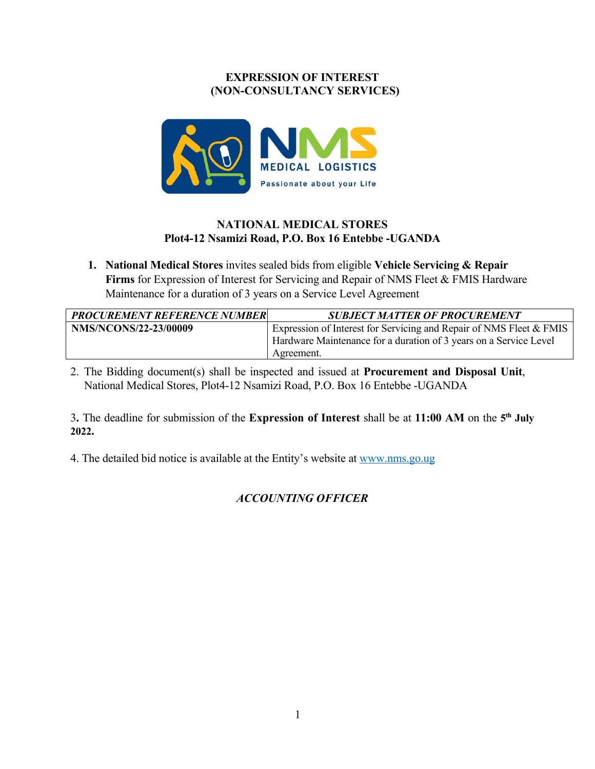### **EXPRESSION OF INTEREST (NON-CONSULTANCY SERVICES)**



## **NATIONAL MEDICAL STORES Plot4-12 Nsamizi Road, P.O. Box 16 Entebbe -UGANDA**

**1. National Medical Stores** invites sealed bids from eligible **Vehicle Servicing & Repair Firms** for Expression of Interest for Servicing and Repair of NMS Fleet & FMIS Hardware Maintenance for a duration of 3 years on a Service Level Agreement

| <b>PROCUREMENT REFERENCE NUMBER</b> | <b>SUBJECT MATTER OF PROCUREMENT</b>                                |
|-------------------------------------|---------------------------------------------------------------------|
| <b>NMS/NCONS/22-23/00009</b>        | Expression of Interest for Servicing and Repair of NMS Fleet & FMIS |
|                                     | Hardware Maintenance for a duration of 3 years on a Service Level   |
|                                     | Agreement.                                                          |

2. The Bidding document(s) shall be inspected and issued at **Procurement and Disposal Unit**, National Medical Stores, Plot4-12 Nsamizi Road, P.O. Box 16 Entebbe -UGANDA

3**.** The deadline for submission of the **Expression of Interest** shall be at **11:00 AM** on the **5th July 2022.**

4. The detailed bid notice is available at the Entity's website at www.nms.go.ug

# *ACCOUNTING OFFICER*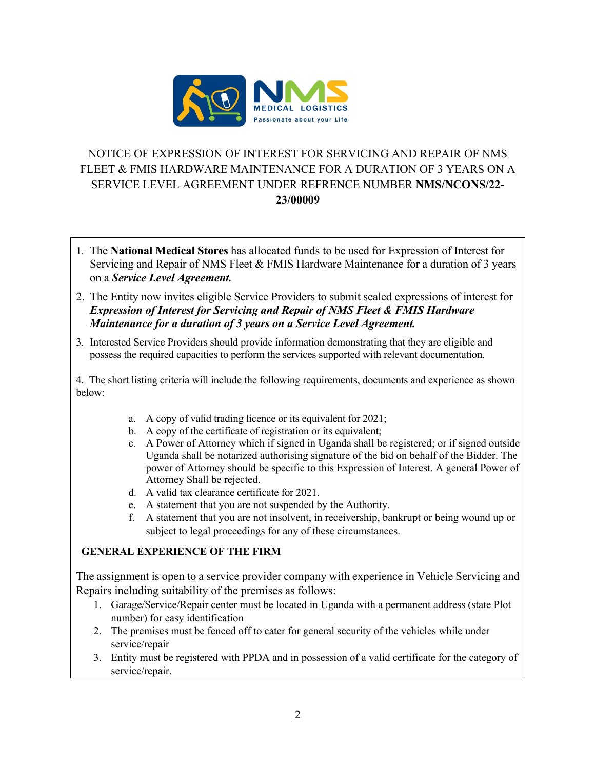

# NOTICE OF EXPRESSION OF INTEREST FOR SERVICING AND REPAIR OF NMS FLEET & FMIS HARDWARE MAINTENANCE FOR A DURATION OF 3 YEARS ON A SERVICE LEVEL AGREEMENT UNDER REFRENCE NUMBER **NMS/NCONS/22- 23/00009**

- 1. The **National Medical Stores** has allocated funds to be used for Expression of Interest for Servicing and Repair of NMS Fleet & FMIS Hardware Maintenance for a duration of 3 years on a *Service Level Agreement.*
- 2. The Entity now invites eligible Service Providers to submit sealed expressions of interest for *Expression of Interest for Servicing and Repair of NMS Fleet & FMIS Hardware Maintenance for a duration of 3 years on a Service Level Agreement.*
- 3. Interested Service Providers should provide information demonstrating that they are eligible and possess the required capacities to perform the services supported with relevant documentation.

4. The short listing criteria will include the following requirements, documents and experience as shown below:

- a. A copy of valid trading licence or its equivalent for 2021;
- b. A copy of the certificate of registration or its equivalent;
- c. A Power of Attorney which if signed in Uganda shall be registered; or if signed outside Uganda shall be notarized authorising signature of the bid on behalf of the Bidder. The power of Attorney should be specific to this Expression of Interest. A general Power of Attorney Shall be rejected.
- d. A valid tax clearance certificate for 2021.
- e. A statement that you are not suspended by the Authority.
- f. A statement that you are not insolvent, in receivership, bankrupt or being wound up or subject to legal proceedings for any of these circumstances.

## **GENERAL EXPERIENCE OF THE FIRM**

The assignment is open to a service provider company with experience in Vehicle Servicing and Repairs including suitability of the premises as follows:

- 1. Garage/Service/Repair center must be located in Uganda with a permanent address (state Plot number) for easy identification
- 2. The premises must be fenced off to cater for general security of the vehicles while under service/repair
- 3. Entity must be registered with PPDA and in possession of a valid certificate for the category of service/repair.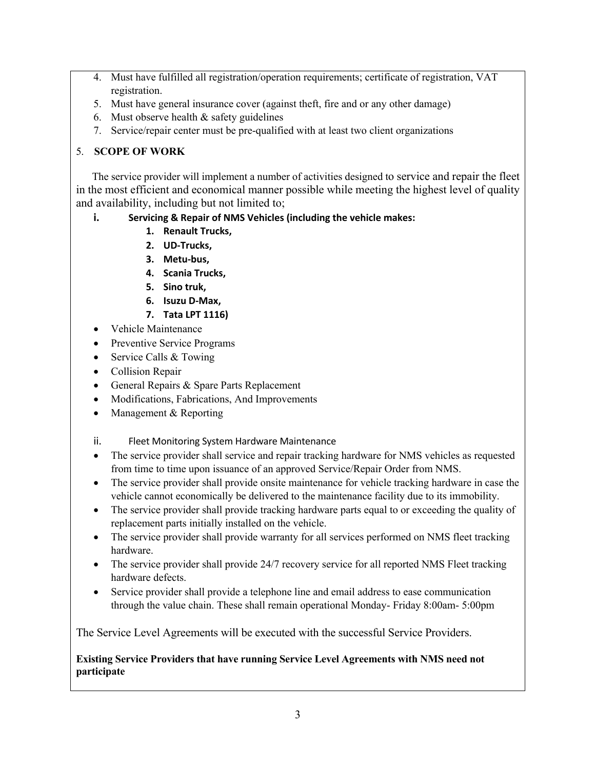- 4. Must have fulfilled all registration/operation requirements; certificate of registration, VAT registration.
- 5. Must have general insurance cover (against theft, fire and or any other damage)
- 6. Must observe health  $&$  safety guidelines
- 7. Service/repair center must be pre-qualified with at least two client organizations

## 5. **SCOPE OF WORK**

 The service provider will implement a number of activities designed to service and repair the fleet in the most efficient and economical manner possible while meeting the highest level of quality and availability, including but not limited to;

- **i. Servicing & Repair of NMS Vehicles (including the vehicle makes:**
	- **1. Renault Trucks,**
	- **2. UD-Trucks,**
	- **3. Metu-bus,**
	- **4. Scania Trucks,**
	- **5. Sino truk,**
	- **6. Isuzu D-Max,**
	- **7. Tata LPT 1116)**
- Vehicle Maintenance
- Preventive Service Programs
- Service Calls & Towing
- Collision Repair
- General Repairs & Spare Parts Replacement
- Modifications, Fabrications, And Improvements
- Management & Reporting
- ii. Fleet Monitoring System Hardware Maintenance
- The service provider shall service and repair tracking hardware for NMS vehicles as requested from time to time upon issuance of an approved Service/Repair Order from NMS.
- The service provider shall provide onsite maintenance for vehicle tracking hardware in case the vehicle cannot economically be delivered to the maintenance facility due to its immobility.
- The service provider shall provide tracking hardware parts equal to or exceeding the quality of replacement parts initially installed on the vehicle.
- The service provider shall provide warranty for all services performed on NMS fleet tracking hardware.
- The service provider shall provide 24/7 recovery service for all reported NMS Fleet tracking hardware defects.
- Service provider shall provide a telephone line and email address to ease communication through the value chain. These shall remain operational Monday- Friday 8:00am- 5:00pm

The Service Level Agreements will be executed with the successful Service Providers.

## **Existing Service Providers that have running Service Level Agreements with NMS need not participate**